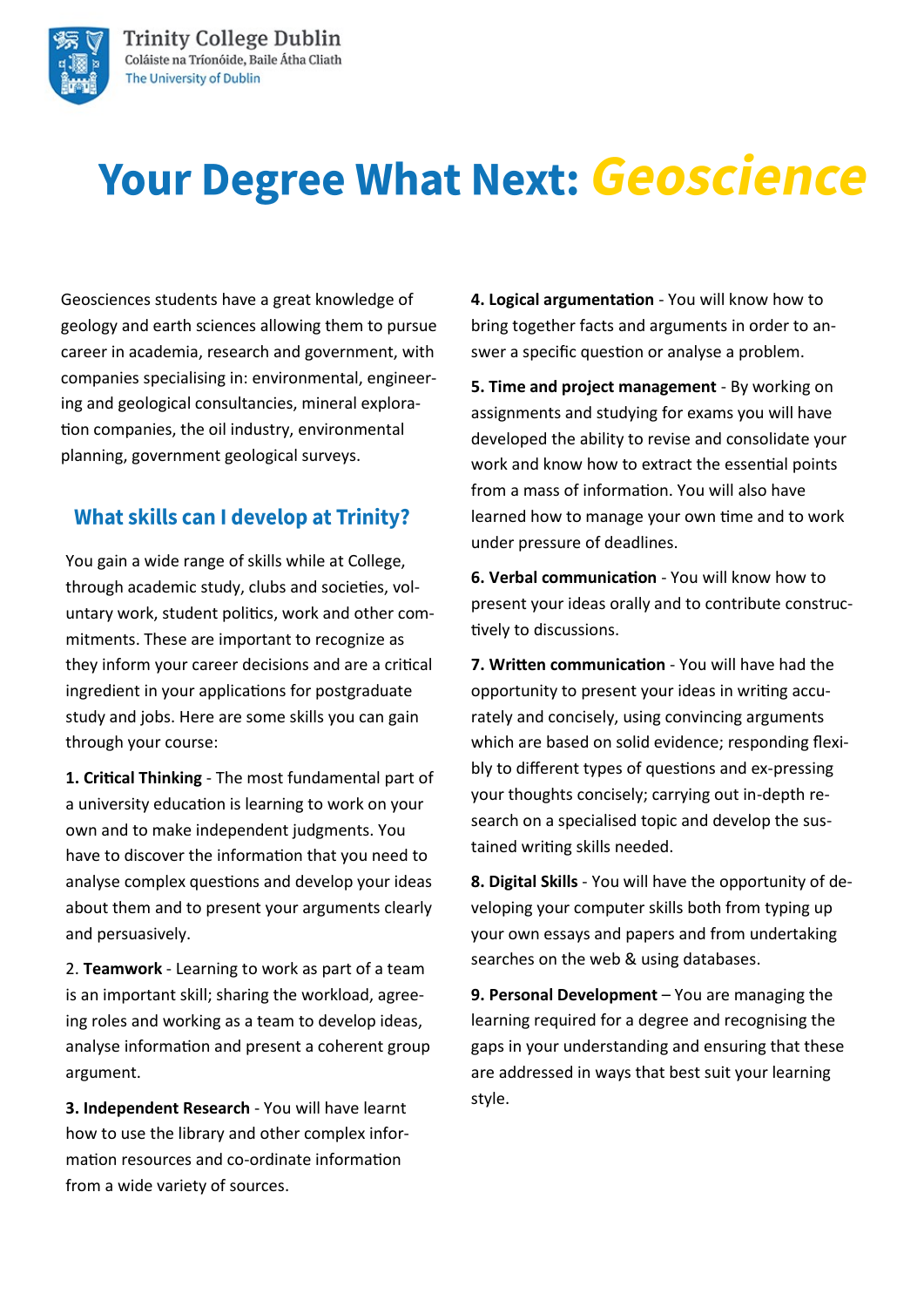



# **Your Degree What Next: Geoscience**

Geosciences students have a great knowledge of geology and earth sciences allowing them to pursue career in academia, research and government, with companies specialising in: environmental, engineering and geological consultancies, mineral exploration companies, the oil industry, environmental planning, government geological surveys.

### **What skills can I develop at Trinity?**

You gain a wide range of skills while at College, through academic study, clubs and societies, voluntary work, student politics, work and other commitments. These are important to recognize as they inform your career decisions and are a critical ingredient in your applications for postgraduate study and jobs. Here are some skills you can gain through your course:

**1. Critical Thinking** - The most fundamental part of a university education is learning to work on your own and to make independent judgments. You have to discover the information that you need to analyse complex questions and develop your ideas about them and to present your arguments clearly and persuasively.

2. **Teamwork** - Learning to work as part of a team is an important skill; sharing the workload, agreeing roles and working as a team to develop ideas, analyse information and present a coherent group argument.

**3. Independent Research** - You will have learnt how to use the library and other complex information resources and co-ordinate information from a wide variety of sources.

**4. Logical argumentation** - You will know how to bring together facts and arguments in order to answer a specific question or analyse a problem.

**5. Time and project management** - By working on assignments and studying for exams you will have developed the ability to revise and consolidate your work and know how to extract the essential points from a mass of information. You will also have learned how to manage your own time and to work under pressure of deadlines.

**6. Verbal communication** - You will know how to present your ideas orally and to contribute constructively to discussions.

**7. Written communication** - You will have had the opportunity to present your ideas in writing accurately and concisely, using convincing arguments which are based on solid evidence; responding flexibly to different types of questions and ex-pressing your thoughts concisely; carrying out in-depth research on a specialised topic and develop the sustained writing skills needed.

**8. Digital Skills** - You will have the opportunity of developing your computer skills both from typing up your own essays and papers and from undertaking searches on the web & using databases.

**9. Personal Development** – You are managing the learning required for a degree and recognising the gaps in your understanding and ensuring that these are addressed in ways that best suit your learning style.